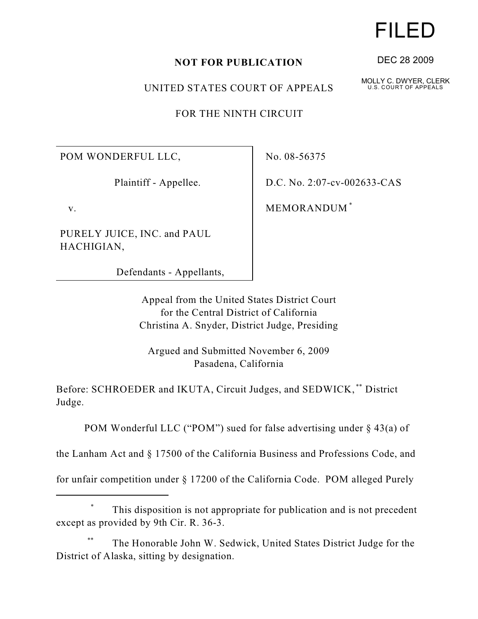UNITED STATES COURT OF APPEALS

FOR THE NINTH CIRCUIT

POM WONDERFUL LLC,

Plaintiff - Appellee.

v.

PURELY JUICE, INC. and PAUL HACHIGIAN,

Defendants - Appellants,

No. 08-56375

D.C. No. 2:07-cv-002633-CAS

MEMORANDUM \*

Appeal from the United States District Court for the Central District of California Christina A. Snyder, District Judge, Presiding

Argued and Submitted November 6, 2009 Pasadena, California

Before: SCHROEDER and IKUTA, Circuit Judges, and SEDWICK,<sup>\*\*</sup> District Judge.

POM Wonderful LLC ("POM") sued for false advertising under § 43(a) of

the Lanham Act and § 17500 of the California Business and Professions Code, and

for unfair competition under § 17200 of the California Code. POM alleged Purely

## This disposition is not appropriate for publication and is not precedent \* except as provided by 9th Cir. R. 36-3.

The Honorable John W. Sedwick, United States District Judge for the \*\* District of Alaska, sitting by designation.

## FILED

DEC 28 2009

MOLLY C. DWYER, CLERK U.S. COURT OF APPEALS

**NOT FOR PUBLICATION**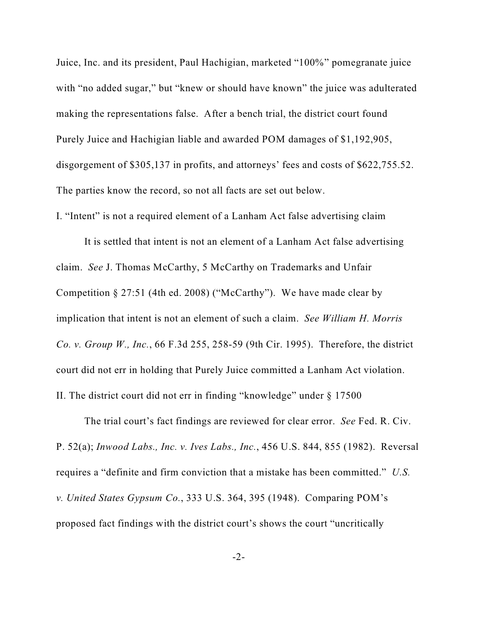Juice, Inc. and its president, Paul Hachigian, marketed "100%" pomegranate juice with "no added sugar," but "knew or should have known" the juice was adulterated making the representations false. After a bench trial, the district court found Purely Juice and Hachigian liable and awarded POM damages of \$1,192,905, disgorgement of \$305,137 in profits, and attorneys' fees and costs of \$622,755.52. The parties know the record, so not all facts are set out below.

I. "Intent" is not a required element of a Lanham Act false advertising claim

It is settled that intent is not an element of a Lanham Act false advertising claim. *See* J. Thomas McCarthy, 5 McCarthy on Trademarks and Unfair Competition § 27:51 (4th ed. 2008) ("McCarthy"). We have made clear by implication that intent is not an element of such a claim. *See William H. Morris Co. v. Group W., Inc.*, 66 F.3d 255, 258-59 (9th Cir. 1995). Therefore, the district court did not err in holding that Purely Juice committed a Lanham Act violation. II. The district court did not err in finding "knowledge" under § 17500

The trial court's fact findings are reviewed for clear error. *See* Fed. R. Civ. P. 52(a); *Inwood Labs., Inc. v. Ives Labs., Inc.*, 456 U.S. 844, 855 (1982). Reversal requires a "definite and firm conviction that a mistake has been committed." *U.S. v. United States Gypsum Co.*, 333 U.S. 364, 395 (1948). Comparing POM's proposed fact findings with the district court's shows the court "uncritically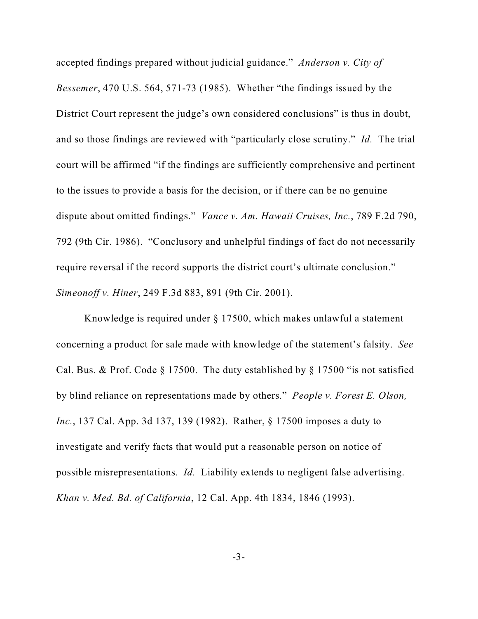accepted findings prepared without judicial guidance." *Anderson v. City of Bessemer*, 470 U.S. 564, 571-73 (1985). Whether "the findings issued by the District Court represent the judge's own considered conclusions" is thus in doubt, and so those findings are reviewed with "particularly close scrutiny." *Id.* The trial court will be affirmed "if the findings are sufficiently comprehensive and pertinent to the issues to provide a basis for the decision, or if there can be no genuine dispute about omitted findings." *Vance v. Am. Hawaii Cruises, Inc.*, 789 F.2d 790, 792 (9th Cir. 1986). "Conclusory and unhelpful findings of fact do not necessarily require reversal if the record supports the district court's ultimate conclusion." *Simeonoff v. Hiner*, 249 F.3d 883, 891 (9th Cir. 2001).

Knowledge is required under § 17500, which makes unlawful a statement concerning a product for sale made with knowledge of the statement's falsity. *See* Cal. Bus. & Prof. Code § 17500. The duty established by § 17500 "is not satisfied by blind reliance on representations made by others." *People v. Forest E. Olson, Inc.*, 137 Cal. App. 3d 137, 139 (1982). Rather, § 17500 imposes a duty to investigate and verify facts that would put a reasonable person on notice of possible misrepresentations. *Id.* Liability extends to negligent false advertising. *Khan v. Med. Bd. of California*, 12 Cal. App. 4th 1834, 1846 (1993).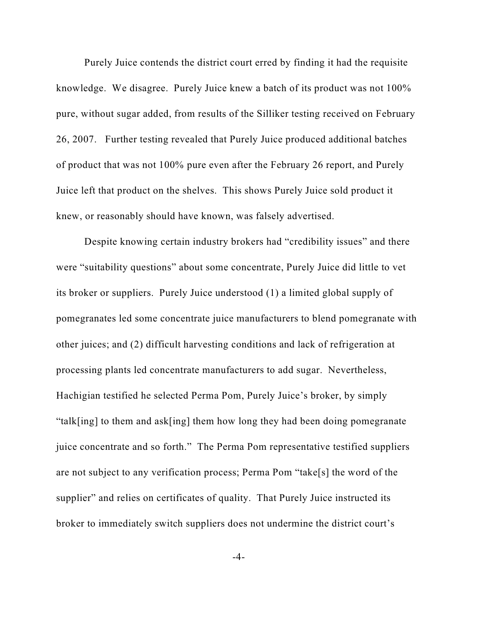Purely Juice contends the district court erred by finding it had the requisite knowledge. We disagree. Purely Juice knew a batch of its product was not 100% pure, without sugar added, from results of the Silliker testing received on February 26, 2007. Further testing revealed that Purely Juice produced additional batches of product that was not 100% pure even after the February 26 report, and Purely Juice left that product on the shelves. This shows Purely Juice sold product it knew, or reasonably should have known, was falsely advertised.

Despite knowing certain industry brokers had "credibility issues" and there were "suitability questions" about some concentrate, Purely Juice did little to vet its broker or suppliers. Purely Juice understood (1) a limited global supply of pomegranates led some concentrate juice manufacturers to blend pomegranate with other juices; and (2) difficult harvesting conditions and lack of refrigeration at processing plants led concentrate manufacturers to add sugar. Nevertheless, Hachigian testified he selected Perma Pom, Purely Juice's broker, by simply "talk[ing] to them and ask[ing] them how long they had been doing pomegranate juice concentrate and so forth." The Perma Pom representative testified suppliers are not subject to any verification process; Perma Pom "take[s] the word of the supplier" and relies on certificates of quality. That Purely Juice instructed its broker to immediately switch suppliers does not undermine the district court's

-4-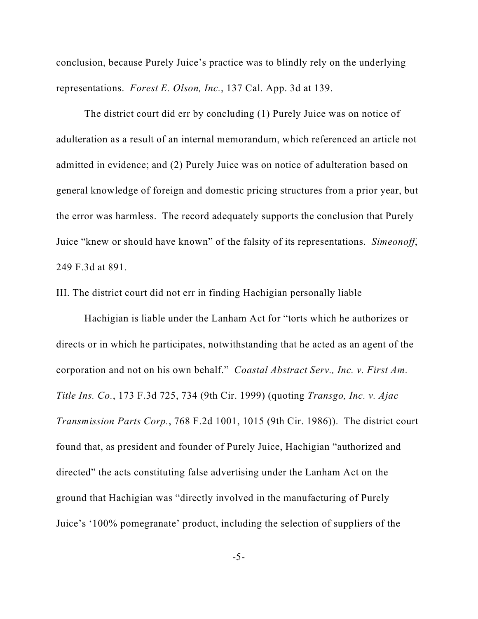conclusion, because Purely Juice's practice was to blindly rely on the underlying representations. *Forest E. Olson, Inc.*, 137 Cal. App. 3d at 139.

The district court did err by concluding (1) Purely Juice was on notice of adulteration as a result of an internal memorandum, which referenced an article not admitted in evidence; and (2) Purely Juice was on notice of adulteration based on general knowledge of foreign and domestic pricing structures from a prior year, but the error was harmless. The record adequately supports the conclusion that Purely Juice "knew or should have known" of the falsity of its representations. *Simeonoff*, 249 F.3d at 891.

III. The district court did not err in finding Hachigian personally liable

Hachigian is liable under the Lanham Act for "torts which he authorizes or directs or in which he participates, notwithstanding that he acted as an agent of the corporation and not on his own behalf." *Coastal Abstract Serv., Inc. v. First Am. Title Ins. Co.*, 173 F.3d 725, 734 (9th Cir. 1999) (quoting *Transgo, Inc. v. Ajac Transmission Parts Corp.*, 768 F.2d 1001, 1015 (9th Cir. 1986)). The district court found that, as president and founder of Purely Juice, Hachigian "authorized and directed" the acts constituting false advertising under the Lanham Act on the ground that Hachigian was "directly involved in the manufacturing of Purely Juice's '100% pomegranate' product, including the selection of suppliers of the

-5-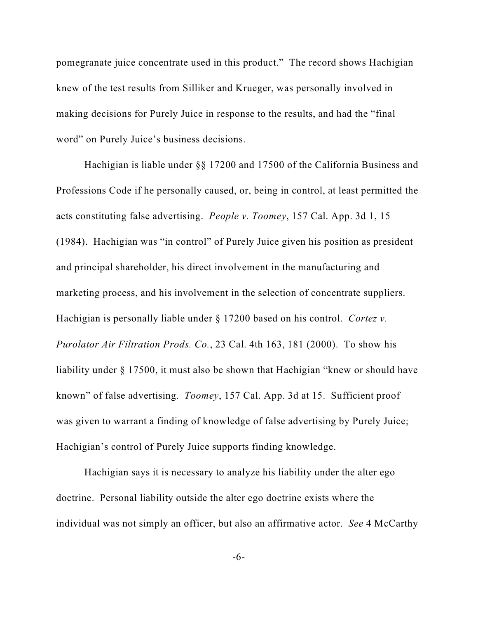pomegranate juice concentrate used in this product." The record shows Hachigian knew of the test results from Silliker and Krueger, was personally involved in making decisions for Purely Juice in response to the results, and had the "final word" on Purely Juice's business decisions.

Hachigian is liable under §§ 17200 and 17500 of the California Business and Professions Code if he personally caused, or, being in control, at least permitted the acts constituting false advertising. *People v. Toomey*, 157 Cal. App. 3d 1, 15 (1984). Hachigian was "in control" of Purely Juice given his position as president and principal shareholder, his direct involvement in the manufacturing and marketing process, and his involvement in the selection of concentrate suppliers. Hachigian is personally liable under § 17200 based on his control. *Cortez v. Purolator Air Filtration Prods. Co.*, 23 Cal. 4th 163, 181 (2000). To show his liability under § 17500, it must also be shown that Hachigian "knew or should have known" of false advertising. *Toomey*, 157 Cal. App. 3d at 15. Sufficient proof was given to warrant a finding of knowledge of false advertising by Purely Juice; Hachigian's control of Purely Juice supports finding knowledge.

Hachigian says it is necessary to analyze his liability under the alter ego doctrine. Personal liability outside the alter ego doctrine exists where the individual was not simply an officer, but also an affirmative actor. *See* 4 McCarthy

-6-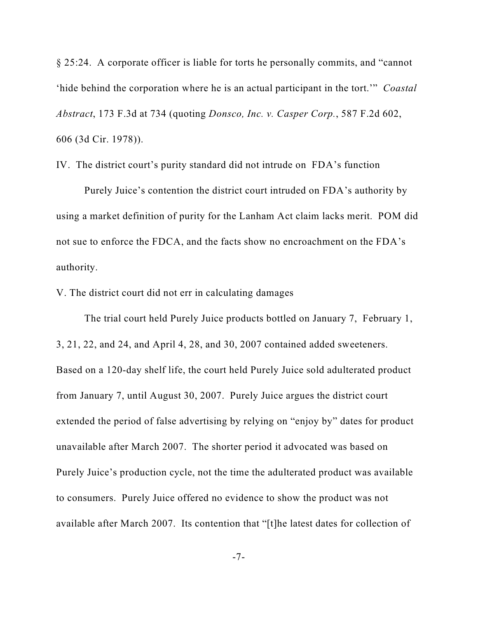§ 25:24. A corporate officer is liable for torts he personally commits, and "cannot 'hide behind the corporation where he is an actual participant in the tort.'" *Coastal Abstract*, 173 F.3d at 734 (quoting *Donsco, Inc. v. Casper Corp.*, 587 F.2d 602, 606 (3d Cir. 1978)).

IV. The district court's purity standard did not intrude on FDA's function

Purely Juice's contention the district court intruded on FDA's authority by using a market definition of purity for the Lanham Act claim lacks merit. POM did not sue to enforce the FDCA, and the facts show no encroachment on the FDA's authority.

V. The district court did not err in calculating damages

The trial court held Purely Juice products bottled on January 7, February 1, 3, 21, 22, and 24, and April 4, 28, and 30, 2007 contained added sweeteners. Based on a 120-day shelf life, the court held Purely Juice sold adulterated product from January 7, until August 30, 2007. Purely Juice argues the district court extended the period of false advertising by relying on "enjoy by" dates for product unavailable after March 2007. The shorter period it advocated was based on Purely Juice's production cycle, not the time the adulterated product was available to consumers. Purely Juice offered no evidence to show the product was not available after March 2007. Its contention that "[t]he latest dates for collection of